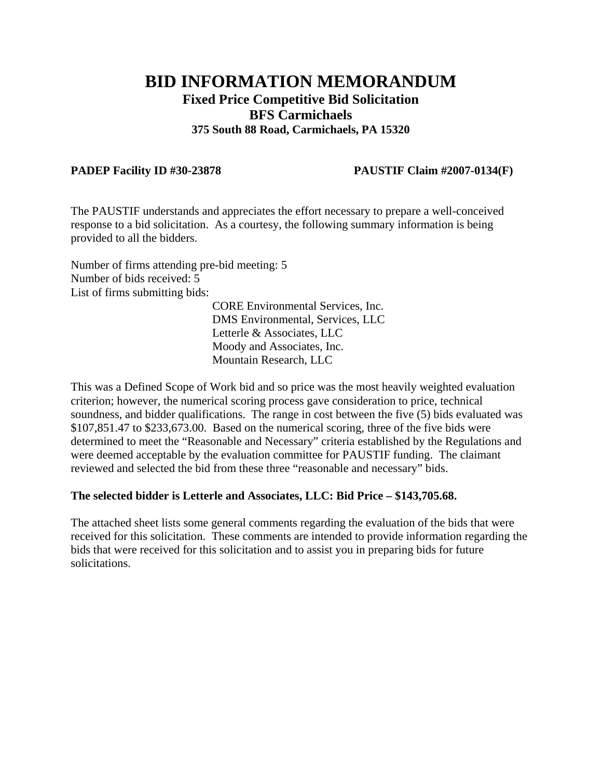## **BID INFORMATION MEMORANDUM Fixed Price Competitive Bid Solicitation BFS Carmichaels 375 South 88 Road, Carmichaels, PA 15320**

## **PADEP Facility ID #30-23878 PAUSTIF Claim #2007-0134(F)**

The PAUSTIF understands and appreciates the effort necessary to prepare a well-conceived response to a bid solicitation. As a courtesy, the following summary information is being provided to all the bidders.

Number of firms attending pre-bid meeting: 5 Number of bids received: 5 List of firms submitting bids:

CORE Environmental Services, Inc. DMS Environmental, Services, LLC Letterle & Associates, LLC Moody and Associates, Inc. Mountain Research, LLC

This was a Defined Scope of Work bid and so price was the most heavily weighted evaluation criterion; however, the numerical scoring process gave consideration to price, technical soundness, and bidder qualifications. The range in cost between the five (5) bids evaluated was \$107,851.47 to \$233,673.00. Based on the numerical scoring, three of the five bids were determined to meet the "Reasonable and Necessary" criteria established by the Regulations and were deemed acceptable by the evaluation committee for PAUSTIF funding. The claimant reviewed and selected the bid from these three "reasonable and necessary" bids.

## **The selected bidder is Letterle and Associates, LLC: Bid Price – \$143,705.68.**

The attached sheet lists some general comments regarding the evaluation of the bids that were received for this solicitation. These comments are intended to provide information regarding the bids that were received for this solicitation and to assist you in preparing bids for future solicitations.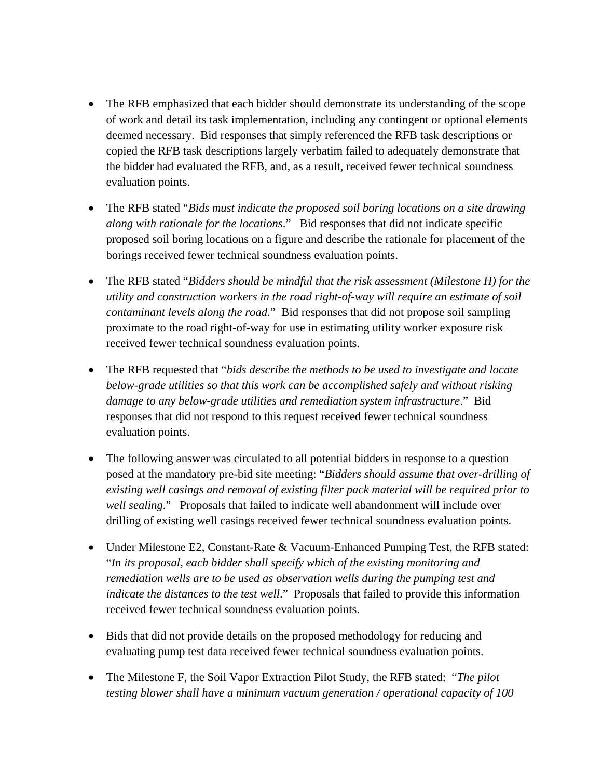- The RFB emphasized that each bidder should demonstrate its understanding of the scope of work and detail its task implementation, including any contingent or optional elements deemed necessary. Bid responses that simply referenced the RFB task descriptions or copied the RFB task descriptions largely verbatim failed to adequately demonstrate that the bidder had evaluated the RFB, and, as a result, received fewer technical soundness evaluation points.
- The RFB stated "*Bids must indicate the proposed soil boring locations on a site drawing along with rationale for the locations*." Bid responses that did not indicate specific proposed soil boring locations on a figure and describe the rationale for placement of the borings received fewer technical soundness evaluation points.
- The RFB stated "*Bidders should be mindful that the risk assessment (Milestone H) for the utility and construction workers in the road right-of-way will require an estimate of soil contaminant levels along the road*." Bid responses that did not propose soil sampling proximate to the road right-of-way for use in estimating utility worker exposure risk received fewer technical soundness evaluation points.
- The RFB requested that "*bids describe the methods to be used to investigate and locate below-grade utilities so that this work can be accomplished safely and without risking damage to any below-grade utilities and remediation system infrastructure*." Bid responses that did not respond to this request received fewer technical soundness evaluation points.
- The following answer was circulated to all potential bidders in response to a question posed at the mandatory pre-bid site meeting: "*Bidders should assume that over-drilling of existing well casings and removal of existing filter pack material will be required prior to well sealing*." Proposals that failed to indicate well abandonment will include over drilling of existing well casings received fewer technical soundness evaluation points.
- Under Milestone E2, Constant-Rate & Vacuum-Enhanced Pumping Test, the RFB stated: "*In its proposal, each bidder shall specify which of the existing monitoring and remediation wells are to be used as observation wells during the pumping test and indicate the distances to the test well*." Proposals that failed to provide this information received fewer technical soundness evaluation points.
- Bids that did not provide details on the proposed methodology for reducing and evaluating pump test data received fewer technical soundness evaluation points.
- The Milestone F, the Soil Vapor Extraction Pilot Study, the RFB stated: "*The pilot testing blower shall have a minimum vacuum generation / operational capacity of 100*